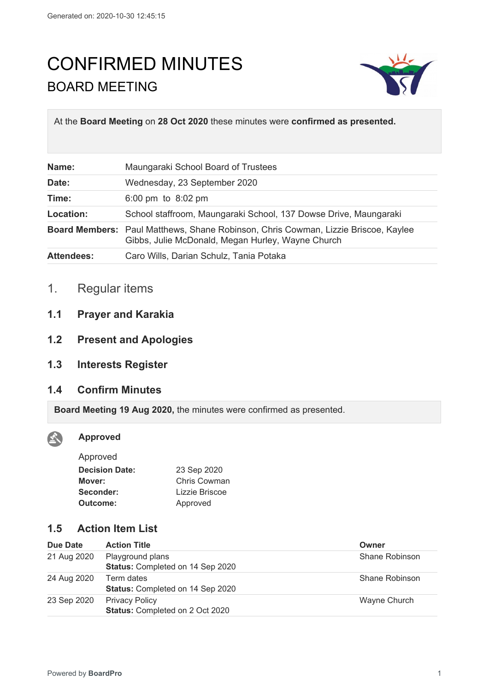# CONFIRMED MINUTES BOARD MEETING



At the **Board Meeting** on **28 Oct 2020** these minutes were **confirmed as presented.**

| Name:             | Maungaraki School Board of Trustees                                                                                                            |
|-------------------|------------------------------------------------------------------------------------------------------------------------------------------------|
| Date:             | Wednesday, 23 September 2020                                                                                                                   |
| Time:             | 6:00 pm to $8:02$ pm                                                                                                                           |
| Location:         | School staffroom, Maungaraki School, 137 Dowse Drive, Maungaraki                                                                               |
|                   | <b>Board Members:</b> Paul Matthews, Shane Robinson, Chris Cowman, Lizzie Briscoe, Kaylee<br>Gibbs, Julie McDonald, Megan Hurley, Wayne Church |
| <b>Attendees:</b> | Caro Wills, Darian Schulz, Tania Potaka                                                                                                        |

- 1. Regular items
- **1.1 Prayer and Karakia**
- **1.2 Present and Apologies**
- **1.3 Interests Register**

# **1.4 Confirm Minutes**

**Board Meeting 19 Aug 2020,** the minutes were confirmed as presented.

### **Approved**

X

| Approved              |                |
|-----------------------|----------------|
| <b>Decision Date:</b> | 23 Sep 2020    |
| Mover:                | Chris Cowman   |
| Seconder:             | Lizzie Briscoe |
| Outcome:              | Approved       |
|                       |                |

# **1.5 Action Item List**

| Due Date    | <b>Action Title</b>                                             | Owner          |
|-------------|-----------------------------------------------------------------|----------------|
| 21 Aug 2020 | Playground plans<br>Status: Completed on 14 Sep 2020            | Shane Robinson |
| 24 Aug 2020 | Term dates<br>Status: Completed on 14 Sep 2020                  | Shane Robinson |
| 23 Sep 2020 | <b>Privacy Policy</b><br><b>Status: Completed on 2 Oct 2020</b> | Wayne Church   |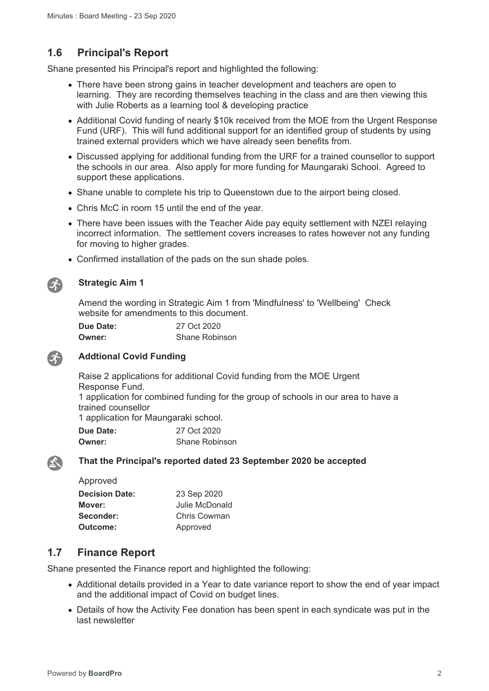# **1.6 Principal's Report**

Shane presented his Principal's report and highlighted the following:

- There have been strong gains in teacher development and teachers are open to learning. They are recording themselves teaching in the class and are then viewing this with Julie Roberts as a learning tool & developing practice
- Additional Covid funding of nearly \$10k received from the MOE from the Urgent Response Fund (URF). This will fund additional support for an identified group of students by using trained external providers which we have already seen benefits from.
- Discussed applying for additional funding from the URF for a trained counsellor to support the schools in our area. Also apply for more funding for Maungaraki School. Agreed to support these applications.
- Shane unable to complete his trip to Queenstown due to the airport being closed.
- Chris McC in room 15 until the end of the year.
- There have been issues with the Teacher Aide pay equity settlement with NZEI relaying incorrect information. The settlement covers increases to rates however not any funding for moving to higher grades.
- Confirmed installation of the pads on the sun shade poles.



#### **Strategic Aim 1**

Amend the wording in Strategic Aim 1 from 'Mindfulness' to 'Wellbeing' Check website for amendments to this document.

| Due Date: | 27 Oct 2020           |
|-----------|-----------------------|
| Owner:    | <b>Shane Robinson</b> |



#### **Addtional Covid Funding**

Raise 2 applications for additional Covid funding from the MOE Urgent Response Fund.

1 application for combined funding for the group of schools in our area to have a trained counsellor

1 application for Maungaraki school.

| <b>Due Date:</b> | 27 Oct 2020    |
|------------------|----------------|
| <b>Owner:</b>    | Shane Robinson |

 $\mathbf{X}$ 

#### **That the Principal's reported dated 23 September 2020 be accepted**

| Approved              |                |
|-----------------------|----------------|
| <b>Decision Date:</b> | 23 Sep 2020    |
| Mover:                | Julie McDonald |
| Seconder:             | Chris Cowman   |
| Outcome:              | Approved       |

# **1.7 Finance Report**

Shane presented the Finance report and highlighted the following:

- Additional details provided in a Year to date variance report to show the end of year impact and the additional impact of Covid on budget lines.
- Details of how the Activity Fee donation has been spent in each syndicate was put in the last newsletter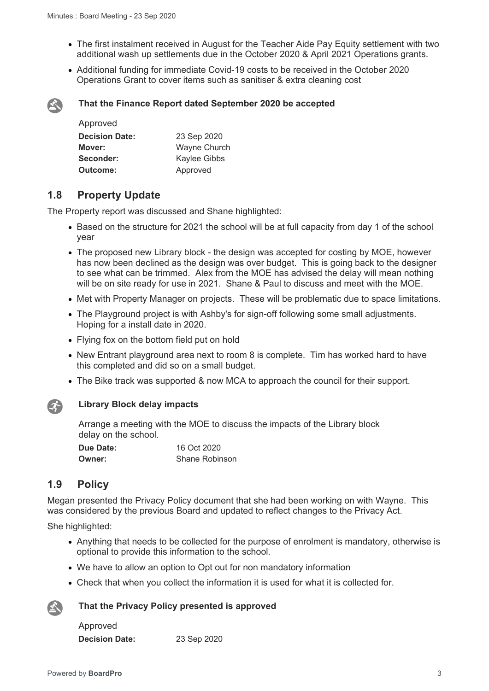- The first instalment received in August for the Teacher Aide Pay Equity settlement with two additional wash up settlements due in the October 2020 & April 2021 Operations grants.
- Additional funding for immediate Covid-19 costs to be received in the October 2020 Operations Grant to cover items such as sanitiser & extra cleaning cost



#### **That the Finance Report dated September 2020 be accepted**

| Approved              |                     |
|-----------------------|---------------------|
| <b>Decision Date:</b> | 23 Sep 2020         |
| Mover:                | <b>Wayne Church</b> |
| Seconder:             | Kaylee Gibbs        |
| Outcome:              | Approved            |

# **1.8 Property Update**

The Property report was discussed and Shane highlighted:

- Based on the structure for 2021 the school will be at full capacity from day 1 of the school year
- The proposed new Library block the design was accepted for costing by MOE, however has now been declined as the design was over budget. This is going back to the designer to see what can be trimmed. Alex from the MOE has advised the delay will mean nothing will be on site ready for use in 2021. Shane & Paul to discuss and meet with the MOE.
- Met with Property Manager on projects. These will be problematic due to space limitations.
- The Playground project is with Ashby's for sign-off following some small adjustments. Hoping for a install date in 2020.
- Flying fox on the bottom field put on hold
- New Entrant playground area next to room 8 is complete. Tim has worked hard to have this completed and did so on a small budget.
- The Bike track was supported & now MCA to approach the council for their support.



#### **Library Block delay impacts**

Arrange a meeting with the MOE to discuss the impacts of the Library block delay on the school.

| Due Date: | 16 Oct 2020           |
|-----------|-----------------------|
| Owner:    | <b>Shane Robinson</b> |

# **1.9 Policy**

Megan presented the Privacy Policy document that she had been working on with Wayne. This was considered by the previous Board and updated to reflect changes to the Privacy Act.

She highlighted:

- Anything that needs to be collected for the purpose of enrolment is mandatory, otherwise is optional to provide this information to the school.
- We have to allow an option to Opt out for non mandatory information
- Check that when you collect the information it is used for what it is collected for.

#### **That the Privacy Policy presented is approved**

Approved **Decision Date:** 23 Sep 2020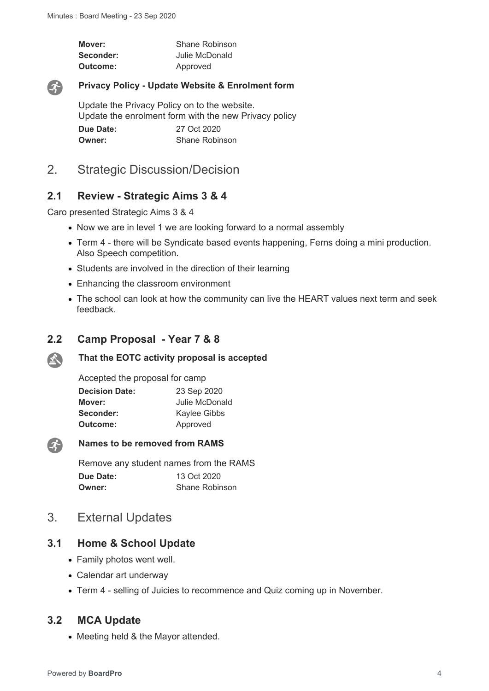| Mover:    | Shane Robinson |
|-----------|----------------|
| Seconder: | Julie McDonald |
| Outcome:  | Approved       |



#### **Privacy Policy - Update Website & Enrolment form**

Update the Privacy Policy on to the website. Update the enrolment form with the new Privacy policy **Due Date:** 27 Oct 2020 **Owner:** Shane Robinson

# 2. Strategic Discussion/Decision

#### **2.1 Review - Strategic Aims 3 & 4**

Caro presented Strategic Aims 3 & 4

- Now we are in level 1 we are looking forward to a normal assembly
- Term 4 there will be Syndicate based events happening, Ferns doing a mini production. Also Speech competition.
- Students are involved in the direction of their learning
- Enhancing the classroom environment
- The school can look at how the community can live the HEART values next term and seek feedback.

#### **2.2 Camp Proposal - Year 7 & 8**

#### $\sum_{i=1}^{n}$ **That the EOTC activity proposal is accepted**

Accepted the proposal for camp

| <b>Decision Date:</b> | 23 Sep 2020    |
|-----------------------|----------------|
| Mover:                | Julie McDonald |
| Seconder:             | Kaylee Gibbs   |
| Outcome:              | Approved       |



#### **Names to be removed from RAMS**

Remove any student names from the RAMS **Due Date:** 13 Oct 2020 **Owner:** Shane Robinson

# 3. External Updates

#### **3.1 Home & School Update**

- Family photos went well.
- Calendar art underway
- Term 4 selling of Juicies to recommence and Quiz coming up in November.

#### **3.2 MCA Update**

• Meeting held & the Mayor attended.